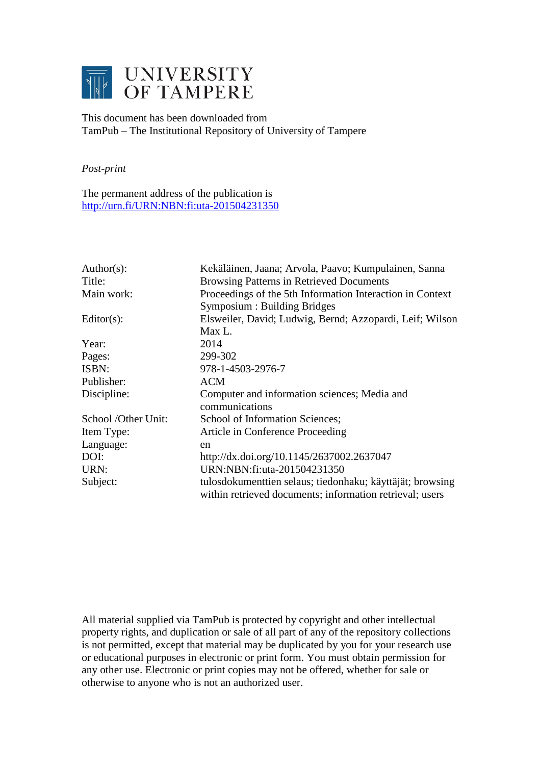

# This document has been downloaded from TamPub – The Institutional Repository of University of Tampere

# *Post-print*

The permanent address of the publication is <http://urn.fi/URN:NBN:fi:uta-201504231350>

| Author(s):          | Kekäläinen, Jaana; Arvola, Paavo; Kumpulainen, Sanna                                                                  |
|---------------------|-----------------------------------------------------------------------------------------------------------------------|
| Title:              | <b>Browsing Patterns in Retrieved Documents</b>                                                                       |
| Main work:          | Proceedings of the 5th Information Interaction in Context                                                             |
|                     | Symposium : Building Bridges                                                                                          |
| $Editor(s)$ :       | Elsweiler, David; Ludwig, Bernd; Azzopardi, Leif; Wilson                                                              |
|                     | Max L.                                                                                                                |
| Year:               | 2014                                                                                                                  |
| Pages:              | 299-302                                                                                                               |
| ISBN:               | 978-1-4503-2976-7                                                                                                     |
| Publisher:          | <b>ACM</b>                                                                                                            |
| Discipline:         | Computer and information sciences; Media and                                                                          |
|                     | communications                                                                                                        |
| School /Other Unit: | School of Information Sciences;                                                                                       |
| Item Type:          | Article in Conference Proceeding                                                                                      |
| Language:           | en                                                                                                                    |
| DOI:                | http://dx.doi.org/10.1145/2637002.2637047                                                                             |
| URN:                | URN:NBN:fi:uta-201504231350                                                                                           |
| Subject:            | tulosdokumenttien selaus; tiedonhaku; käyttäjät; browsing<br>within retrieved documents; information retrieval; users |

All material supplied via TamPub is protected by copyright and other intellectual property rights, and duplication or sale of all part of any of the repository collections is not permitted, except that material may be duplicated by you for your research use or educational purposes in electronic or print form. You must obtain permission for any other use. Electronic or print copies may not be offered, whether for sale or otherwise to anyone who is not an authorized user.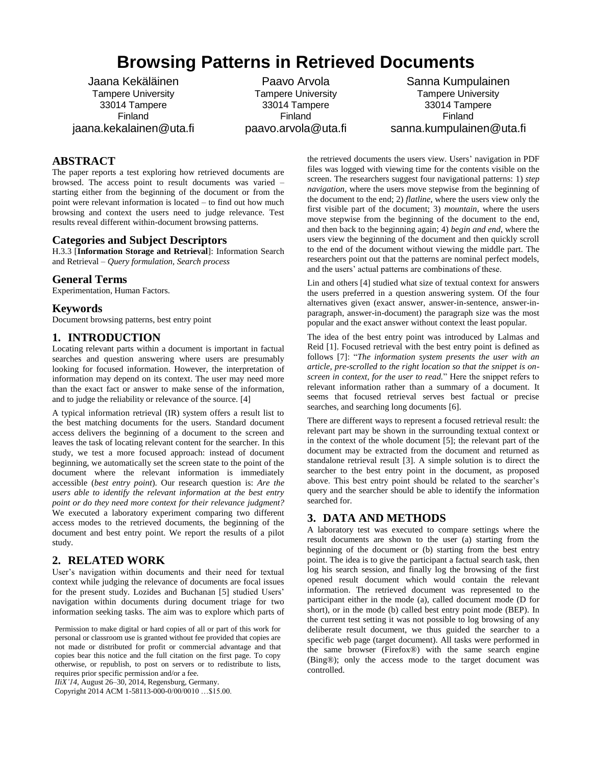# **Browsing Patterns in Retrieved Documents**

Jaana Kekäläinen Tampere University 33014 Tampere Finland jaana.kekalainen@uta.fi

Paavo Arvola Tampere University 33014 Tampere Finland paavo.arvola@uta.fi

Sanna Kumpulainen Tampere University 33014 Tampere Finland sanna.kumpulainen@uta.fi

### **ABSTRACT**

The paper reports a test exploring how retrieved documents are browsed. The access point to result documents was varied – starting either from the beginning of the document or from the point were relevant information is located – to find out how much browsing and context the users need to judge relevance. Test results reveal different within-document browsing patterns.

#### **Categories and Subject Descriptors**

H.3.3 [**Information Storage and Retrieval**]: Information Search and Retrieval – *Query formulation, Search process*

#### **General Terms**

Experimentation, Human Factors.

#### **Keywords**

Document browsing patterns, best entry point

#### **1. INTRODUCTION**

Locating relevant parts within a document is important in factual searches and question answering where users are presumably looking for focused information. However, the interpretation of information may depend on its context. The user may need more than the exact fact or answer to make sense of the information, and to judge the reliability or relevance of the source. [4]

A typical information retrieval (IR) system offers a result list to the best matching documents for the users. Standard document access delivers the beginning of a document to the screen and leaves the task of locating relevant content for the searcher. In this study, we test a more focused approach: instead of document beginning, we automatically set the screen state to the point of the document where the relevant information is immediately accessible (*best entry point*). Our research question is: *Are the users able to identify the relevant information at the best entry point or do they need more context for their relevance judgment?* We executed a laboratory experiment comparing two different access modes to the retrieved documents, the beginning of the document and best entry point. We report the results of a pilot study.

#### **2. RELATED WORK**

User's navigation within documents and their need for textual context while judging the relevance of documents are focal issues for the present study. Lozides and Buchanan [5] studied Users' navigation within documents during document triage for two information seeking tasks. The aim was to explore which parts of

Permission to make digital or hard copies of all or part of this work for personal or classroom use is granted without fee provided that copies are not made or distributed for profit or commercial advantage and that copies bear this notice and the full citation on the first page. To copy otherwise, or republish, to post on servers or to redistribute to lists, requires prior specific permission and/or a fee.

*IIiX'14*, August 26–30, 2014, Regensburg, Germany.

Copyright 2014 ACM 1-58113-000-0/00/0010 …\$15.00.

the retrieved documents the users view. Users' navigation in PDF files was logged with viewing time for the contents visible on the screen. The researchers suggest four navigational patterns: 1) *step navigation*, where the users move stepwise from the beginning of the document to the end; 2) *flatline*, where the users view only the first visible part of the document; 3) *mountain*, where the users move stepwise from the beginning of the document to the end, and then back to the beginning again; 4) *begin and end*, where the users view the beginning of the document and then quickly scroll to the end of the document without viewing the middle part. The researchers point out that the patterns are nominal perfect models, and the users' actual patterns are combinations of these.

Lin and others [4] studied what size of textual context for answers the users preferred in a question answering system. Of the four alternatives given (exact answer, answer-in-sentence, answer-inparagraph, answer-in-document) the paragraph size was the most popular and the exact answer without context the least popular.

The idea of the best entry point was introduced by Lalmas and Reid [1]. Focused retrieval with the best entry point is defined as follows [7]: "*The information system presents the user with an article, pre-scrolled to the right location so that the snippet is onscreen in context, for the user to read.*" Here the snippet refers to relevant information rather than a summary of a document. It seems that focused retrieval serves best factual or precise searches, and searching long documents [6].

There are different ways to represent a focused retrieval result: the relevant part may be shown in the surrounding textual context or in the context of the whole document [5]; the relevant part of the document may be extracted from the document and returned as standalone retrieval result [3]. A simple solution is to direct the searcher to the best entry point in the document, as proposed above. This best entry point should be related to the searcher's query and the searcher should be able to identify the information searched for.

#### **3. DATA AND METHODS**

A laboratory test was executed to compare settings where the result documents are shown to the user (a) starting from the beginning of the document or (b) starting from the best entry point. The idea is to give the participant a factual search task, then log his search session, and finally log the browsing of the first opened result document which would contain the relevant information. The retrieved document was represented to the participant either in the mode (a), called document mode (D for short), or in the mode (b) called best entry point mode (BEP). In the current test setting it was not possible to log browsing of any deliberate result document, we thus guided the searcher to a specific web page (target document). All tasks were performed in the same browser (Firefox®) with the same search engine (Bing®); only the access mode to the target document was controlled.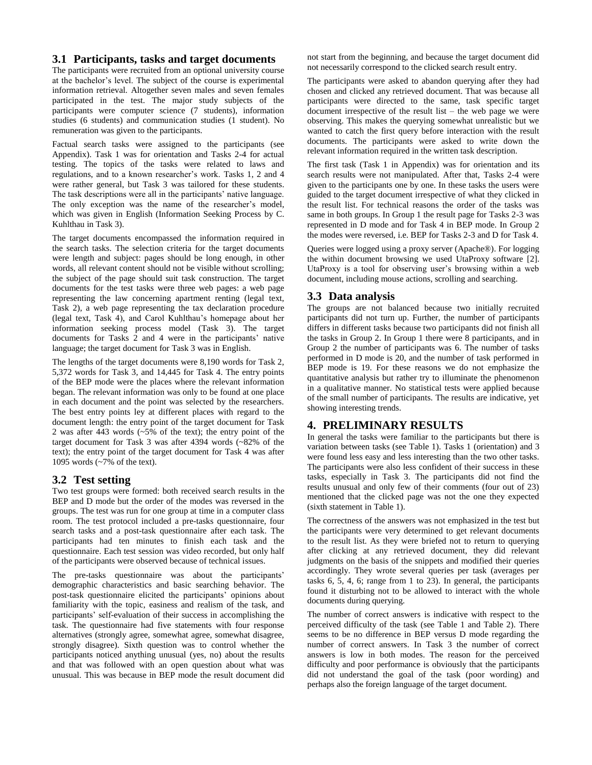#### **3.1 Participants, tasks and target documents**

The participants were recruited from an optional university course at the bachelor's level. The subject of the course is experimental information retrieval. Altogether seven males and seven females participated in the test. The major study subjects of the participants were computer science (7 students), information studies (6 students) and communication studies (1 student). No remuneration was given to the participants.

Factual search tasks were assigned to the participants (see Appendix). Task 1 was for orientation and Tasks 2-4 for actual testing. The topics of the tasks were related to laws and regulations, and to a known researcher's work. Tasks 1, 2 and 4 were rather general, but Task 3 was tailored for these students. The task descriptions were all in the participants' native language. The only exception was the name of the researcher's model, which was given in English (Information Seeking Process by C. Kuhlthau in Task 3).

The target documents encompassed the information required in the search tasks. The selection criteria for the target documents were length and subject: pages should be long enough, in other words, all relevant content should not be visible without scrolling; the subject of the page should suit task construction. The target documents for the test tasks were three web pages: a web page representing the law concerning apartment renting (legal text, Task 2), a web page representing the tax declaration procedure (legal text, Task 4), and Carol Kuhlthau's homepage about her information seeking process model (Task 3). The target documents for Tasks 2 and 4 were in the participants' native language; the target document for Task 3 was in English.

The lengths of the target documents were 8,190 words for Task 2, 5,372 words for Task 3, and 14,445 for Task 4. The entry points of the BEP mode were the places where the relevant information began. The relevant information was only to be found at one place in each document and the point was selected by the researchers. The best entry points ley at different places with regard to the document length: the entry point of the target document for Task 2 was after 443 words (~5% of the text); the entry point of the target document for Task 3 was after 4394 words (~82% of the text); the entry point of the target document for Task 4 was after 1095 words (~7% of the text).

#### **3.2 Test setting**

Two test groups were formed: both received search results in the BEP and D mode but the order of the modes was reversed in the groups. The test was run for one group at time in a computer class room. The test protocol included a pre-tasks questionnaire, four search tasks and a post-task questionnaire after each task. The participants had ten minutes to finish each task and the questionnaire. Each test session was video recorded, but only half of the participants were observed because of technical issues.

The pre-tasks questionnaire was about the participants' demographic characteristics and basic searching behavior. The post-task questionnaire elicited the participants' opinions about familiarity with the topic, easiness and realism of the task, and participants' self-evaluation of their success in accomplishing the task. The questionnaire had five statements with four response alternatives (strongly agree, somewhat agree, somewhat disagree, strongly disagree). Sixth question was to control whether the participants noticed anything unusual (yes, no) about the results and that was followed with an open question about what was unusual. This was because in BEP mode the result document did

not start from the beginning, and because the target document did not necessarily correspond to the clicked search result entry.

The participants were asked to abandon querying after they had chosen and clicked any retrieved document. That was because all participants were directed to the same, task specific target  $\frac{1}{2}$  document irrespective of the result list – the web page we were observing. This makes the querying somewhat unrealistic but we wanted to catch the first query before interaction with the result documents. The participants were asked to write down the relevant information required in the written task description.

The first task (Task 1 in Appendix) was for orientation and its search results were not manipulated. After that, Tasks 2-4 were given to the participants one by one. In these tasks the users were guided to the target document irrespective of what they clicked in the result list. For technical reasons the order of the tasks was same in both groups. In Group 1 the result page for Tasks 2-3 was represented in D mode and for Task 4 in BEP mode. In Group 2 the modes were reversed, i.e. BEP for Tasks 2-3 and D for Task 4.

Queries were logged using a proxy server (Apache®). For logging the within document browsing we used UtaProxy software [2]. UtaProxy is a tool for observing user's browsing within a web document, including mouse actions, scrolling and searching.

### **3.3 Data analysis**

The groups are not balanced because two initially recruited participants did not turn up. Further, the number of participants differs in different tasks because two participants did not finish all the tasks in Group 2. In Group 1 there were 8 participants, and in Group 2 the number of participants was 6. The number of tasks performed in D mode is 20, and the number of task performed in BEP mode is 19. For these reasons we do not emphasize the quantitative analysis but rather try to illuminate the phenomenon in a qualitative manner. No statistical tests were applied because of the small number of participants. The results are indicative, yet showing interesting trends.

# **4. PRELIMINARY RESULTS**

In general the tasks were familiar to the participants but there is variation between tasks (see Table 1). Tasks 1 (orientation) and 3 were found less easy and less interesting than the two other tasks. The participants were also less confident of their success in these tasks, especially in Task 3. The participants did not find the results unusual and only few of their comments (four out of 23) mentioned that the clicked page was not the one they expected (sixth statement in Table 1).

The correctness of the answers was not emphasized in the test but the participants were very determined to get relevant documents to the result list. As they were briefed not to return to querying after clicking at any retrieved document, they did relevant judgments on the basis of the snippets and modified their queries accordingly. They wrote several queries per task (averages per tasks 6, 5, 4, 6; range from 1 to 23). In general, the participants found it disturbing not to be allowed to interact with the whole documents during querying.

The number of correct answers is indicative with respect to the perceived difficulty of the task (see Table 1 and Table 2). There seems to be no difference in BEP versus D mode regarding the number of correct answers. In Task 3 the number of correct answers is low in both modes. The reason for the perceived difficulty and poor performance is obviously that the participants did not understand the goal of the task (poor wording) and perhaps also the foreign language of the target document.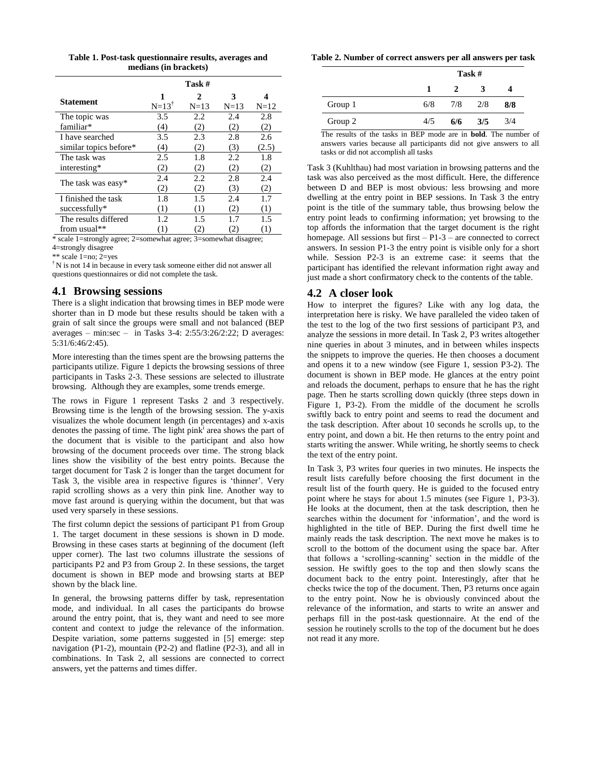| Table 1. Post-task questionnaire results, averages and |  |
|--------------------------------------------------------|--|
| medians (in brackets)                                  |  |

|                        |                  | Task # |             |                  |
|------------------------|------------------|--------|-------------|------------------|
| <b>Statement</b>       | 1                | 2      | 3           | 4                |
|                        | $N=13^{\dagger}$ | $N=13$ | $N=13$      | $N = 12$         |
| The topic was          | 3.5              | 2.2    | 2.4         | 2.8              |
| familiar*              | (4)              | (2)    | $\cdot 2$   | (2)              |
| I have searched        | 3.5              | 2.3    | 2.8         | 2.6              |
| similar topics before* | (4)              | (2)    | (3)         | (2.5)            |
| The task was           | 2.5              | 1.8    | 2.2         | 1.8              |
| interesting*           | (2)              | (2)    | (2)         | (2)              |
|                        | 2.4              | 2.2    | 2.8         | 2.4              |
| The task was easy*     | (2)              | (2)    | (3)         | (2)              |
| I finished the task    | 1.8              | 1.5    | 2.4         | 1.7              |
| successfully*          | (1)              | (1)    | 2)          | (1)              |
| The results differed   | 1.2              | 1.5    |             | 1.5              |
| from usual**           | (1)              | 2)     | $2^{\circ}$ | $\left(1\right)$ |
|                        |                  |        |             |                  |

\* scale 1=strongly agree; 2=somewhat agree; 3=somewhat disagree; 4=strongly disagree

\*\* scale 1=no; 2=yes

† N is not 14 in because in every task someone either did not answer all questions questionnaires or did not complete the task.

### **4.1 Browsing sessions**

There is a slight indication that browsing times in BEP mode were shorter than in D mode but these results should be taken with a grain of salt since the groups were small and not balanced (BEP averages – min:sec – in Tasks 3-4: 2:55/3:26/2:22; D averages: 5:31/6:46/2:45).

More interesting than the times spent are the browsing patterns the participants utilize. Figure 1 depicts the browsing sessions of three participants in Tasks 2-3. These sessions are selected to illustrate browsing. Although they are examples, some trends emerge.

The rows in Figure 1 represent Tasks 2 and 3 respectively. Browsing time is the length of the browsing session. The y-axis visualizes the whole document length (in percentages) and x-axis denotes the passing of time. The light pin $k<sup>i</sup>$  area shows the part of the document that is visible to the participant and also how browsing of the document proceeds over time. The strong black lines show the visibility of the best entry points. Because the target document for Task 2 is longer than the target document for Task 3, the visible area in respective figures is 'thinner'. Very rapid scrolling shows as a very thin pink line. Another way to move fast around is querying within the document, but that was used very sparsely in these sessions.

The first column depict the sessions of participant P1 from Group 1. The target document in these sessions is shown in D mode. Browsing in these cases starts at beginning of the document (left upper corner). The last two columns illustrate the sessions of participants P2 and P3 from Group 2. In these sessions, the target document is shown in BEP mode and browsing starts at BEP shown by the black line.

In general, the browsing patterns differ by task, representation mode, and individual. In all cases the participants do browse around the entry point, that is, they want and need to see more content and context to judge the relevance of the information. Despite variation, some patterns suggested in [5] emerge: step navigation (P1-2), mountain (P2-2) and flatline (P2-3), and all in combinations. In Task 2, all sessions are connected to correct answers, yet the patterns and times differ.

| Table 2. Number of correct answers per all answers per task |
|-------------------------------------------------------------|
|-------------------------------------------------------------|

|         |     | Task #        |     |     |  |  |
|---------|-----|---------------|-----|-----|--|--|
|         |     | $\mathcal{L}$ | 3   |     |  |  |
| Group 1 | 6/8 | $7/8$ 2/8     |     | 8/8 |  |  |
| Group 2 | 4/5 | 6/6           | 3/5 | 3/4 |  |  |

The results of the tasks in BEP mode are in **bold**. The number of answers varies because all participants did not give answers to all tasks or did not accomplish all tasks

Task 3 (Kuhlthau) had most variation in browsing patterns and the task was also perceived as the most difficult. Here, the difference between D and BEP is most obvious: less browsing and more dwelling at the entry point in BEP sessions. In Task 3 the entry point is the title of the summary table, thus browsing below the entry point leads to confirming information; yet browsing to the top affords the information that the target document is the right homepage. All sessions but first  $- P1-3$  – are connected to correct answers. In session P1-3 the entry point is visible only for a short while. Session P2-3 is an extreme case: it seems that the participant has identified the relevant information right away and just made a short confirmatory check to the contents of the table.

# **4.2 A closer look**

How to interpret the figures? Like with any log data, the interpretation here is risky. We have paralleled the video taken of the test to the log of the two first sessions of participant P3, and analyze the sessions in more detail. In Task 2, P3 writes altogether nine queries in about 3 minutes, and in between whiles inspects the snippets to improve the queries. He then chooses a document and opens it to a new window (see Figure 1, session P3-2). The document is shown in BEP mode. He glances at the entry point and reloads the document, perhaps to ensure that he has the right page. Then he starts scrolling down quickly (three steps down in Figure 1, P3-2). From the middle of the document he scrolls swiftly back to entry point and seems to read the document and the task description. After about 10 seconds he scrolls up, to the entry point, and down a bit. He then returns to the entry point and starts writing the answer. While writing, he shortly seems to check the text of the entry point.

In Task 3, P3 writes four queries in two minutes. He inspects the result lists carefully before choosing the first document in the result list of the fourth query. He is guided to the focused entry point where he stays for about 1.5 minutes (see Figure 1, P3-3). He looks at the document, then at the task description, then he searches within the document for 'information', and the word is highlighted in the title of BEP. During the first dwell time he mainly reads the task description. The next move he makes is to scroll to the bottom of the document using the space bar. After that follows a 'scrolling-scanning' section in the middle of the session. He swiftly goes to the top and then slowly scans the document back to the entry point. Interestingly, after that he checks twice the top of the document. Then, P3 returns once again to the entry point. Now he is obviously convinced about the relevance of the information, and starts to write an answer and perhaps fill in the post-task questionnaire. At the end of the session he routinely scrolls to the top of the document but he does not read it any more.